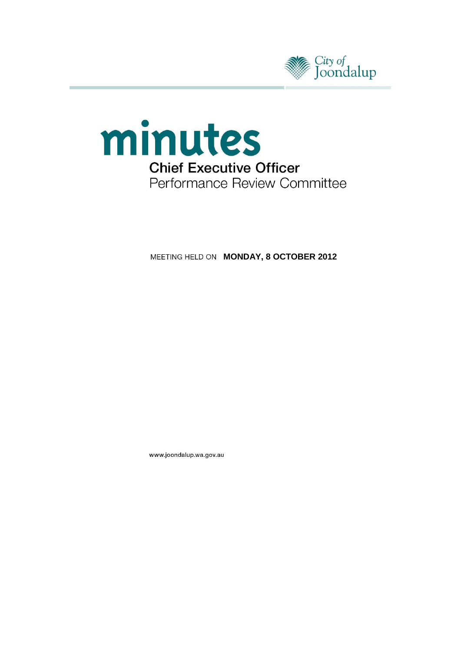



**MEETING HELD ON MONDAY, 8 OCTOBER 2012** 

www.joondalup.wa.gov.au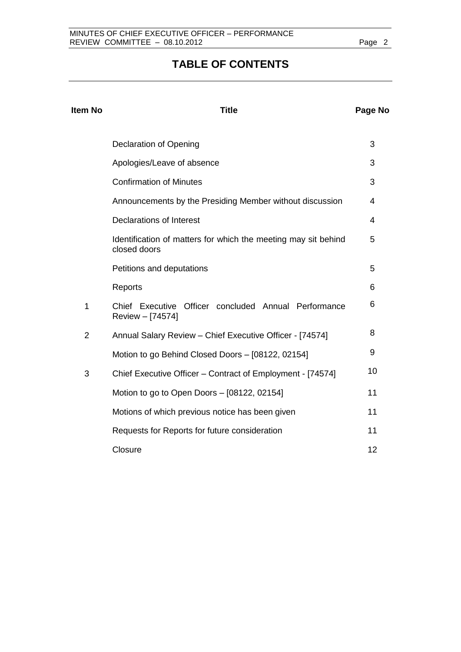# **TABLE OF CONTENTS**

| <b>Item No</b> | <b>Title</b>                                                                   | Page No |
|----------------|--------------------------------------------------------------------------------|---------|
|                | Declaration of Opening                                                         | 3       |
|                | Apologies/Leave of absence                                                     | 3       |
|                | <b>Confirmation of Minutes</b>                                                 | 3       |
|                | Announcements by the Presiding Member without discussion                       | 4       |
|                | <b>Declarations of Interest</b>                                                | 4       |
|                | Identification of matters for which the meeting may sit behind<br>closed doors | 5       |
|                | Petitions and deputations                                                      | 5       |
|                | Reports                                                                        | 6       |
| 1              | Chief Executive Officer concluded Annual Performance<br>Review - [74574]       | 6       |
| $\overline{2}$ | Annual Salary Review - Chief Executive Officer - [74574]                       | 8       |
|                | Motion to go Behind Closed Doors - [08122, 02154]                              | 9       |
| 3              | Chief Executive Officer - Contract of Employment - [74574]                     | 10      |
|                | Motion to go to Open Doors - [08122, 02154]                                    | 11      |
|                | Motions of which previous notice has been given                                | 11      |
|                | Requests for Reports for future consideration                                  | 11      |
|                | Closure                                                                        | 12      |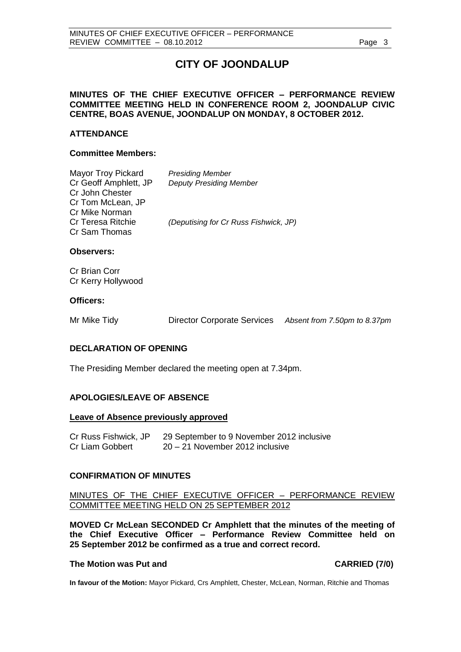# **CITY OF JOONDALUP**

# <span id="page-2-0"></span>**MINUTES OF THE CHIEF EXECUTIVE OFFICER – PERFORMANCE REVIEW COMMITTEE MEETING HELD IN CONFERENCE ROOM 2, JOONDALUP CIVIC CENTRE, BOAS AVENUE, JOONDALUP ON MONDAY, 8 OCTOBER 2012.**

### **ATTENDANCE**

#### **Committee Members:**

| <b>Mayor Troy Pickard</b><br>Cr Geoff Amphlett, JP     | <b>Presiding Member</b><br><b>Deputy Presiding Member</b> |
|--------------------------------------------------------|-----------------------------------------------------------|
| Cr John Chester<br>Cr Tom McLean, JP<br>Cr Mike Norman |                                                           |
| <b>Cr Teresa Ritchie</b><br>Cr Sam Thomas              | (Deputising for Cr Russ Fishwick, JP)                     |

#### **Observers:**

Cr Brian Corr Cr Kerry Hollywood

#### **Officers:**

|  | Mr Mike Tidy | <b>Director Corporate Services</b> | Absent from 7.50pm to 8.37pm |
|--|--------------|------------------------------------|------------------------------|
|--|--------------|------------------------------------|------------------------------|

#### **DECLARATION OF OPENING**

The Presiding Member declared the meeting open at 7.34pm.

#### **APOLOGIES/LEAVE OF ABSENCE**

#### **Leave of Absence previously approved**

| Cr Russ Fishwick, JP | 29 September to 9 November 2012 inclusive |
|----------------------|-------------------------------------------|
| Cr Liam Gobbert      | 20 – 21 November 2012 inclusive           |

#### **CONFIRMATION OF MINUTES**

### MINUTES OF THE CHIEF EXECUTIVE OFFICER – PERFORMANCE REVIEW COMMITTEE MEETING HELD ON 25 SEPTEMBER 2012

**MOVED Cr McLean SECONDED Cr Amphlett that the minutes of the meeting of the Chief Executive Officer – Performance Review Committee held on 25 September 2012 be confirmed as a true and correct record.**

### **The Motion was Put and CARRIED (7/0)**

**In favour of the Motion:** Mayor Pickard, Crs Amphlett, Chester, McLean, Norman, Ritchie and Thomas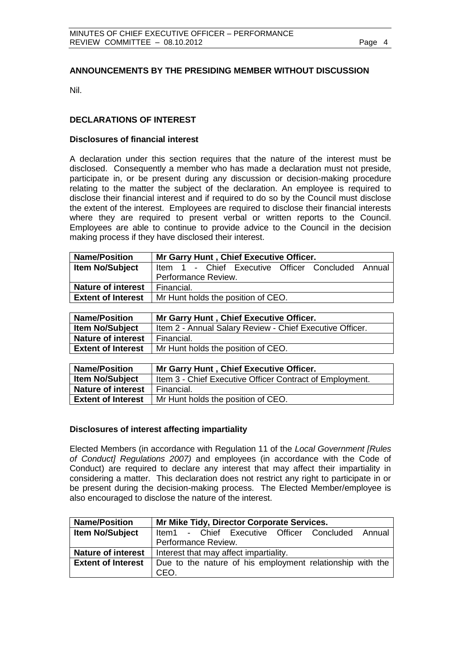# <span id="page-3-0"></span>**ANNOUNCEMENTS BY THE PRESIDING MEMBER WITHOUT DISCUSSION**

Nil.

## **DECLARATIONS OF INTEREST**

#### **Disclosures of financial interest**

A declaration under this section requires that the nature of the interest must be disclosed. Consequently a member who has made a declaration must not preside, participate in, or be present during any discussion or decision-making procedure relating to the matter the subject of the declaration. An employee is required to disclose their financial interest and if required to do so by the Council must disclose the extent of the interest. Employees are required to disclose their financial interests where they are required to present verbal or written reports to the Council. Employees are able to continue to provide advice to the Council in the decision making process if they have disclosed their interest.

| <b>Name/Position</b>      | Mr Garry Hunt, Chief Executive Officer.           |  |  |  |  |  |  |
|---------------------------|---------------------------------------------------|--|--|--|--|--|--|
| Item No/Subject           | Item 1 - Chief Executive Officer Concluded Annual |  |  |  |  |  |  |
|                           | Performance Review.                               |  |  |  |  |  |  |
| <b>Nature of interest</b> | Financial.                                        |  |  |  |  |  |  |
| <b>Extent of Interest</b> | Mr Hunt holds the position of CEO.                |  |  |  |  |  |  |

| <b>Name/Position</b>      | Mr Garry Hunt, Chief Executive Officer.                  |
|---------------------------|----------------------------------------------------------|
| <b>Item No/Subject</b>    | Item 2 - Annual Salary Review - Chief Executive Officer. |
| <b>Nature of interest</b> | Financial.                                               |
| <b>Extent of Interest</b> | Mr Hunt holds the position of CEO.                       |

| <b>Name/Position</b>      | Mr Garry Hunt, Chief Executive Officer.                        |
|---------------------------|----------------------------------------------------------------|
| <b>Item No/Subject</b>    | Item 3 - Chief Executive Officer Contract of Employment.       |
| <b>Nature of interest</b> | I Financial.                                                   |
|                           | <b>Extent of Interest</b>   Mr Hunt holds the position of CEO. |

#### **Disclosures of interest affecting impartiality**

Elected Members (in accordance with Regulation 11 of the *Local Government [Rules of Conduct] Regulations 2007)* and employees (in accordance with the Code of Conduct) are required to declare any interest that may affect their impartiality in considering a matter. This declaration does not restrict any right to participate in or be present during the decision-making process. The Elected Member/employee is also encouraged to disclose the nature of the interest.

| <b>Name/Position</b>      | Mr Mike Tidy, Director Corporate Services.                |  |  |  |  |  |  |  |  |
|---------------------------|-----------------------------------------------------------|--|--|--|--|--|--|--|--|
| <b>Item No/Subject</b>    | Item1 - Chief Executive Officer Concluded Annual          |  |  |  |  |  |  |  |  |
|                           | Performance Review.                                       |  |  |  |  |  |  |  |  |
| <b>Nature of interest</b> | Interest that may affect impartiality.                    |  |  |  |  |  |  |  |  |
| <b>Extent of Interest</b> | Due to the nature of his employment relationship with the |  |  |  |  |  |  |  |  |
|                           | CFO.                                                      |  |  |  |  |  |  |  |  |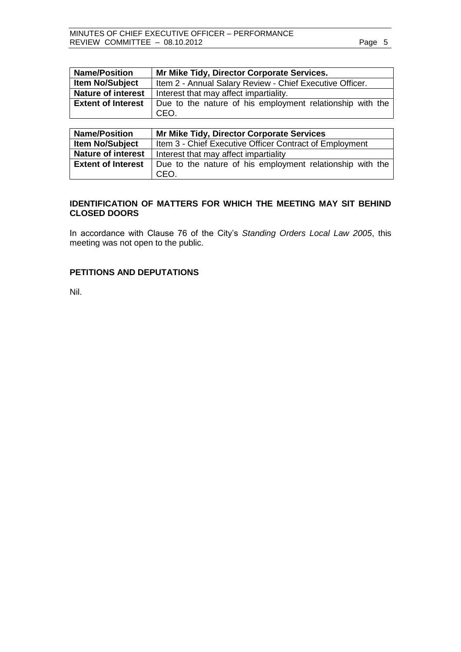<span id="page-4-0"></span>

| <b>Name/Position</b>      | Mr Mike Tidy, Director Corporate Services.                        |  |  |  |  |  |
|---------------------------|-------------------------------------------------------------------|--|--|--|--|--|
| <b>Item No/Subject</b>    | Item 2 - Annual Salary Review - Chief Executive Officer.          |  |  |  |  |  |
| <b>Nature of interest</b> | Interest that may affect impartiality.                            |  |  |  |  |  |
| <b>Extent of Interest</b> | Due to the nature of his employment relationship with the<br>CEO. |  |  |  |  |  |

| <b>Name/Position</b>      | Mr Mike Tidy, Director Corporate Services                         |  |  |  |  |  |  |  |
|---------------------------|-------------------------------------------------------------------|--|--|--|--|--|--|--|
| <b>Item No/Subject</b>    | Item 3 - Chief Executive Officer Contract of Employment           |  |  |  |  |  |  |  |
| <b>Nature of interest</b> | Interest that may affect impartiality                             |  |  |  |  |  |  |  |
| <b>Extent of Interest</b> | Due to the nature of his employment relationship with the<br>CEO. |  |  |  |  |  |  |  |

# **IDENTIFICATION OF MATTERS FOR WHICH THE MEETING MAY SIT BEHIND CLOSED DOORS**

In accordance with Clause 76 of the City's *Standing Orders Local Law 2005*, this meeting was not open to the public.

### **PETITIONS AND DEPUTATIONS**

Nil.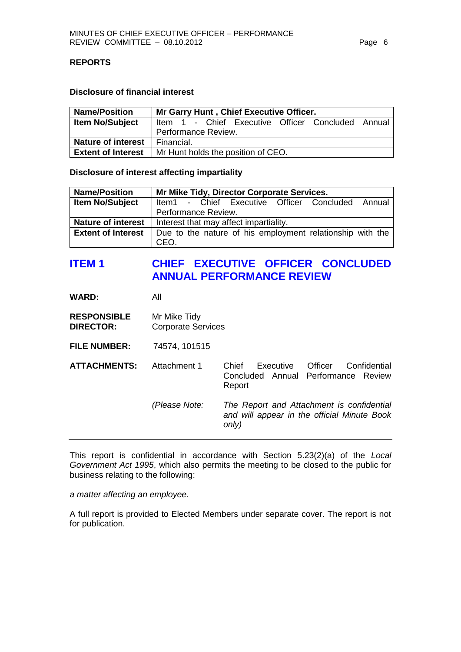## <span id="page-5-0"></span>**REPORTS**

### **Disclosure of financial interest**

| <b>Name/Position</b>   | Mr Garry Hunt, Chief Executive Officer.                        |                                                   |  |  |  |  |  |  |  |
|------------------------|----------------------------------------------------------------|---------------------------------------------------|--|--|--|--|--|--|--|
| <b>Item No/Subject</b> |                                                                | Item 1 - Chief Executive Officer Concluded Annual |  |  |  |  |  |  |  |
|                        | Performance Review.                                            |                                                   |  |  |  |  |  |  |  |
| Nature of interest     | Financial.                                                     |                                                   |  |  |  |  |  |  |  |
|                        | <b>Extent of Interest</b>   Mr Hunt holds the position of CEO. |                                                   |  |  |  |  |  |  |  |

#### **Disclosure of interest affecting impartiality**

| <b>Name/Position</b>      | Mr Mike Tidy, Director Corporate Services.                |  |  |  |  |  |  |  |  |
|---------------------------|-----------------------------------------------------------|--|--|--|--|--|--|--|--|
| <b>Item No/Subject</b>    | Item1 - Chief Executive Officer Concluded Annual          |  |  |  |  |  |  |  |  |
|                           | Performance Review.                                       |  |  |  |  |  |  |  |  |
| <b>Nature of interest</b> | Interest that may affect impartiality.                    |  |  |  |  |  |  |  |  |
| <b>Extent of Interest</b> | Due to the nature of his employment relationship with the |  |  |  |  |  |  |  |  |
|                           | CEO.                                                      |  |  |  |  |  |  |  |  |

# **ITEM 1 CHIEF EXECUTIVE OFFICER CONCLUDED ANNUAL PERFORMANCE REVIEW**

**WARD:** All

- **RESPONSIBLE** Mr Mike Tidy **DIRECTOR:** Corporate Services
- **FILE NUMBER:** 74574, 101515
- **ATTACHMENTS:** Attachment 1 Chief Executive Officer Confidential Concluded Annual Performance Review Report *(Please Note: The Report and Attachment is confidential and will appear in the official Minute Book only)*

This report is confidential in accordance with Section 5.23(2)(a) of the *Local Government Act 1995*, which also permits the meeting to be closed to the public for business relating to the following:

*a matter affecting an employee.*

A full report is provided to Elected Members under separate cover. The report is not for publication.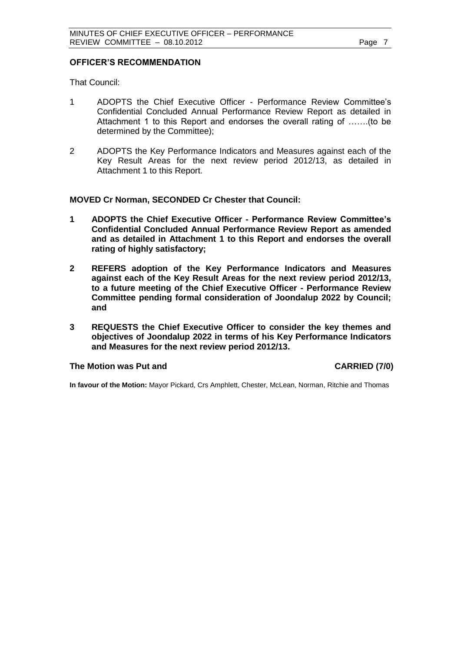#### **OFFICER'S RECOMMENDATION**

That Council:

- 1 ADOPTS the Chief Executive Officer Performance Review Committee's Confidential Concluded Annual Performance Review Report as detailed in Attachment 1 to this Report and endorses the overall rating of …….(to be determined by the Committee);
- 2 ADOPTS the Key Performance Indicators and Measures against each of the Key Result Areas for the next review period 2012/13, as detailed in Attachment 1 to this Report.

#### **MOVED Cr Norman, SECONDED Cr Chester that Council:**

- **1 ADOPTS the Chief Executive Officer - Performance Review Committee's Confidential Concluded Annual Performance Review Report as amended and as detailed in Attachment 1 to this Report and endorses the overall rating of highly satisfactory;**
- **2 REFERS adoption of the Key Performance Indicators and Measures against each of the Key Result Areas for the next review period 2012/13, to a future meeting of the Chief Executive Officer - Performance Review Committee pending formal consideration of Joondalup 2022 by Council; and**
- **3 REQUESTS the Chief Executive Officer to consider the key themes and objectives of Joondalup 2022 in terms of his Key Performance Indicators and Measures for the next review period 2012/13.**

#### **The Motion was Put and CARRIED (7/0)**

**In favour of the Motion:** Mayor Pickard, Crs Amphlett, Chester, McLean, Norman, Ritchie and Thomas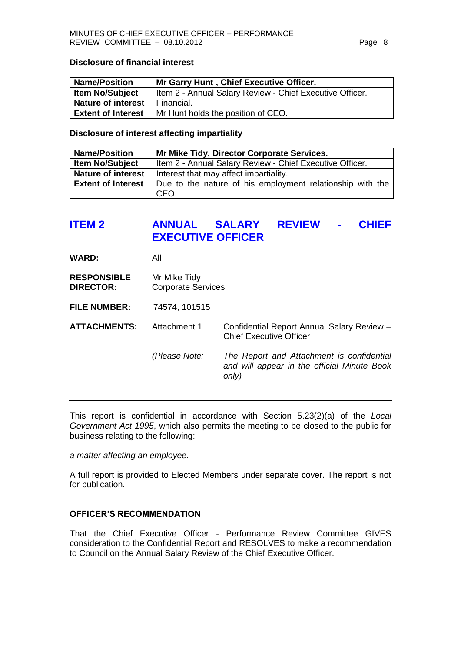#### <span id="page-7-0"></span>**Disclosure of financial interest**

| <b>Name/Position</b>      | Mr Garry Hunt, Chief Executive Officer.                  |
|---------------------------|----------------------------------------------------------|
| <b>Item No/Subject</b>    | Item 2 - Annual Salary Review - Chief Executive Officer. |
| <b>Nature of interest</b> | Financial.                                               |
| <b>Extent of Interest</b> | Mr Hunt holds the position of CEO.                       |

#### **Disclosure of interest affecting impartiality**

| <b>Name/Position</b>      | Mr Mike Tidy, Director Corporate Services.                        |
|---------------------------|-------------------------------------------------------------------|
| <b>Item No/Subject</b>    | Item 2 - Annual Salary Review - Chief Executive Officer.          |
| <b>Nature of interest</b> | Interest that may affect impartiality.                            |
| <b>Extent of Interest</b> | Due to the nature of his employment relationship with the<br>CEO. |

# **ITEM 2 ANNUAL SALARY REVIEW - CHIEF EXECUTIVE OFFICER**

**WARD:** All

- **RESPONSIBLE** Mr Mike Tidy **DIRECTOR:** Corporate Services
- **FILE NUMBER:** 74574, 101515

**ATTACHMENTS:** Attachment 1 Confidential Report Annual Salary Review – Chief Executive Officer

> *(Please Note: The Report and Attachment is confidential and will appear in the official Minute Book only)*

This report is confidential in accordance with Section 5.23(2)(a) of the *Local Government Act 1995*, which also permits the meeting to be closed to the public for business relating to the following:

*a matter affecting an employee.*

A full report is provided to Elected Members under separate cover. The report is not for publication.

# **OFFICER'S RECOMMENDATION**

That the Chief Executive Officer - Performance Review Committee GIVES consideration to the Confidential Report and RESOLVES to make a recommendation to Council on the Annual Salary Review of the Chief Executive Officer.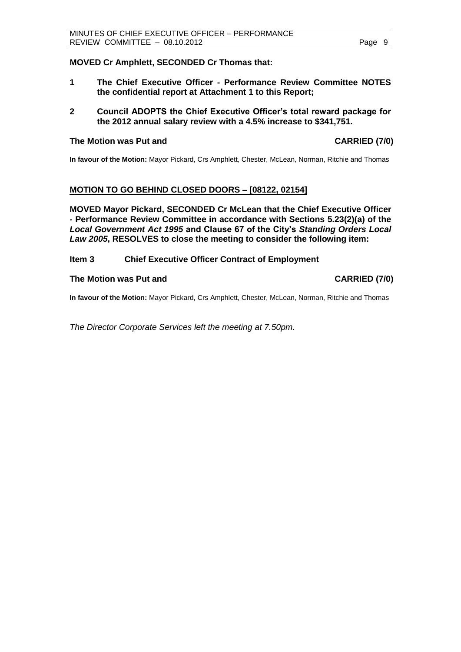## <span id="page-8-0"></span>**MOVED Cr Amphlett, SECONDED Cr Thomas that:**

- **1 The Chief Executive Officer - Performance Review Committee NOTES the confidential report at Attachment 1 to this Report;**
- **2 Council ADOPTS the Chief Executive Officer's total reward package for the 2012 annual salary review with a 4.5% increase to \$341,751.**

#### **The Motion was Put and CARRIED (7/0)**

**In favour of the Motion:** Mayor Pickard, Crs Amphlett, Chester, McLean, Norman, Ritchie and Thomas

# **MOTION TO GO BEHIND CLOSED DOORS – [08122, 02154]**

**MOVED Mayor Pickard, SECONDED Cr McLean that the Chief Executive Officer - Performance Review Committee in accordance with Sections 5.23(2)(a) of the**  *Local Government Act 1995* **and Clause 67 of the City's** *Standing Orders Local Law 2005***, RESOLVES to close the meeting to consider the following item:**

#### **Item 3 Chief Executive Officer Contract of Employment**

#### The Motion was Put and **CARRIED** (7/0)

**In favour of the Motion:** Mayor Pickard, Crs Amphlett, Chester, McLean, Norman, Ritchie and Thomas

*The Director Corporate Services left the meeting at 7.50pm.*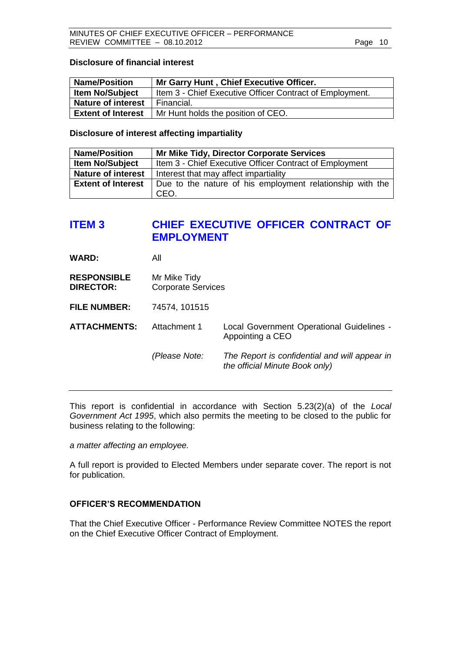#### <span id="page-9-0"></span>**Disclosure of financial interest**

| <b>Name/Position</b>      | Mr Garry Hunt, Chief Executive Officer.                  |
|---------------------------|----------------------------------------------------------|
| <b>Item No/Subject</b>    | Item 3 - Chief Executive Officer Contract of Employment. |
| <b>Nature of interest</b> | I Financial.                                             |
| <b>Extent of Interest</b> | Mr Hunt holds the position of CEO.                       |

## **Disclosure of interest affecting impartiality**

| <b>Name/Position</b>      | Mr Mike Tidy, Director Corporate Services                 |
|---------------------------|-----------------------------------------------------------|
| <b>Item No/Subject</b>    | Item 3 - Chief Executive Officer Contract of Employment   |
| <b>Nature of interest</b> | Interest that may affect impartiality                     |
| <b>Extent of Interest</b> | Due to the nature of his employment relationship with the |
|                           | CEO.                                                      |

# **ITEM 3 CHIEF EXECUTIVE OFFICER CONTRACT OF EMPLOYMENT**

**WARD:** All

**RESPONSIBLE** Mr Mike Tidy **DIRECTOR:** Corporate Services

**FILE NUMBER:** 74574, 101515

**ATTACHMENTS:** Attachment 1 Local Government Operational Guidelines - Appointing a CEO

*(Please Note: The Report is confidential and will appear in* 

*the official Minute Book only)*

This report is confidential in accordance with Section 5.23(2)(a) of the *Local Government Act 1995*, which also permits the meeting to be closed to the public for business relating to the following:

*a matter affecting an employee.*

A full report is provided to Elected Members under separate cover. The report is not for publication.

# **OFFICER'S RECOMMENDATION**

That the Chief Executive Officer - Performance Review Committee NOTES the report on the Chief Executive Officer Contract of Employment.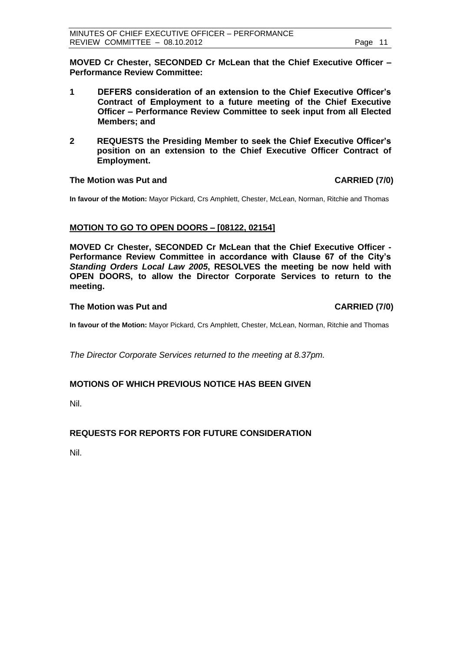<span id="page-10-0"></span>**MOVED Cr Chester, SECONDED Cr McLean that the Chief Executive Officer – Performance Review Committee:**

- **1 DEFERS consideration of an extension to the Chief Executive Officer's Contract of Employment to a future meeting of the Chief Executive Officer – Performance Review Committee to seek input from all Elected Members; and**
- **2 REQUESTS the Presiding Member to seek the Chief Executive Officer's position on an extension to the Chief Executive Officer Contract of Employment.**

### **The Motion was Put and CARRIED (7/0)**

**In favour of the Motion:** Mayor Pickard, Crs Amphlett, Chester, McLean, Norman, Ritchie and Thomas

# **MOTION TO GO TO OPEN DOORS – [08122, 02154]**

**MOVED Cr Chester, SECONDED Cr McLean that the Chief Executive Officer - Performance Review Committee in accordance with Clause 67 of the City's**  *Standing Orders Local Law 2005***, RESOLVES the meeting be now held with OPEN DOORS, to allow the Director Corporate Services to return to the meeting.**

### **The Motion was Put and CARRIED (7/0)**

**In favour of the Motion:** Mayor Pickard, Crs Amphlett, Chester, McLean, Norman, Ritchie and Thomas

*The Director Corporate Services returned to the meeting at 8.37pm.*

# **MOTIONS OF WHICH PREVIOUS NOTICE HAS BEEN GIVEN**

Nil.

# **REQUESTS FOR REPORTS FOR FUTURE CONSIDERATION**

Nil.